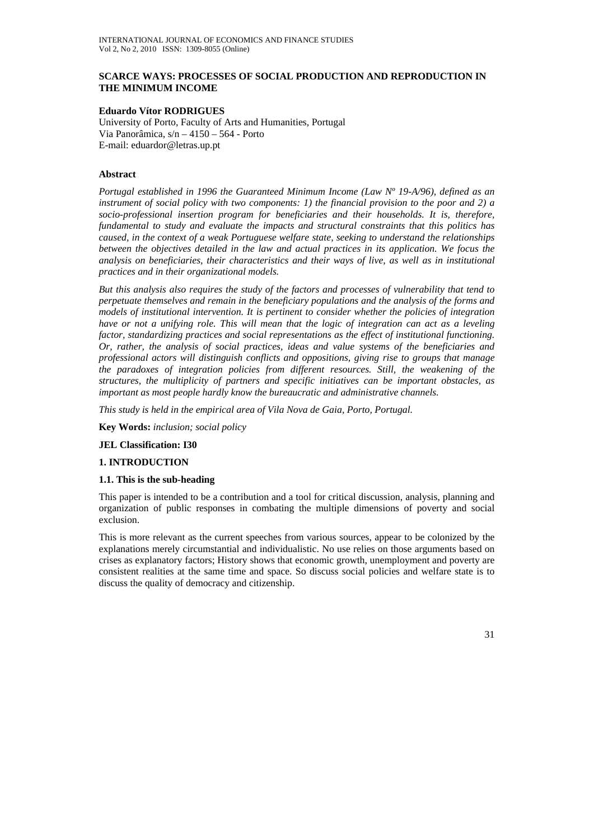### **SCARCE WAYS: PROCESSES OF SOCIAL PRODUCTION AND REPRODUCTION IN THE MINIMUM INCOME**

# **Eduardo Vítor RODRIGUES**

University of Porto, Faculty of Arts and Humanities, Portugal Via Panorâmica, s/n – 4150 – 564 - Porto E-mail: eduardor@letras.up.pt

# **Abstract**

*Portugal established in 1996 the Guaranteed Minimum Income (Law Nº 19-A/96), defined as an instrument of social policy with two components: 1) the financial provision to the poor and 2) a socio-professional insertion program for beneficiaries and their households. It is, therefore, fundamental to study and evaluate the impacts and structural constraints that this politics has caused, in the context of a weak Portuguese welfare state, seeking to understand the relationships between the objectives detailed in the law and actual practices in its application. We focus the analysis on beneficiaries, their characteristics and their ways of live, as well as in institutional practices and in their organizational models.* 

*But this analysis also requires the study of the factors and processes of vulnerability that tend to perpetuate themselves and remain in the beneficiary populations and the analysis of the forms and models of institutional intervention. It is pertinent to consider whether the policies of integration have or not a unifying role. This will mean that the logic of integration can act as a leveling factor, standardizing practices and social representations as the effect of institutional functioning. Or, rather, the analysis of social practices, ideas and value systems of the beneficiaries and professional actors will distinguish conflicts and oppositions, giving rise to groups that manage the paradoxes of integration policies from different resources. Still, the weakening of the structures, the multiplicity of partners and specific initiatives can be important obstacles, as important as most people hardly know the bureaucratic and administrative channels.* 

*This study is held in the empirical area of Vila Nova de Gaia, Porto, Portugal.* 

**Key Words:** *inclusion; social policy* 

#### **JEL Classification: I30**

### **1. INTRODUCTION**

#### **1.1. This is the sub-heading**

This paper is intended to be a contribution and a tool for critical discussion, analysis, planning and organization of public responses in combating the multiple dimensions of poverty and social exclusion.

This is more relevant as the current speeches from various sources, appear to be colonized by the explanations merely circumstantial and individualistic. No use relies on those arguments based on crises as explanatory factors; History shows that economic growth, unemployment and poverty are consistent realities at the same time and space. So discuss social policies and welfare state is to discuss the quality of democracy and citizenship.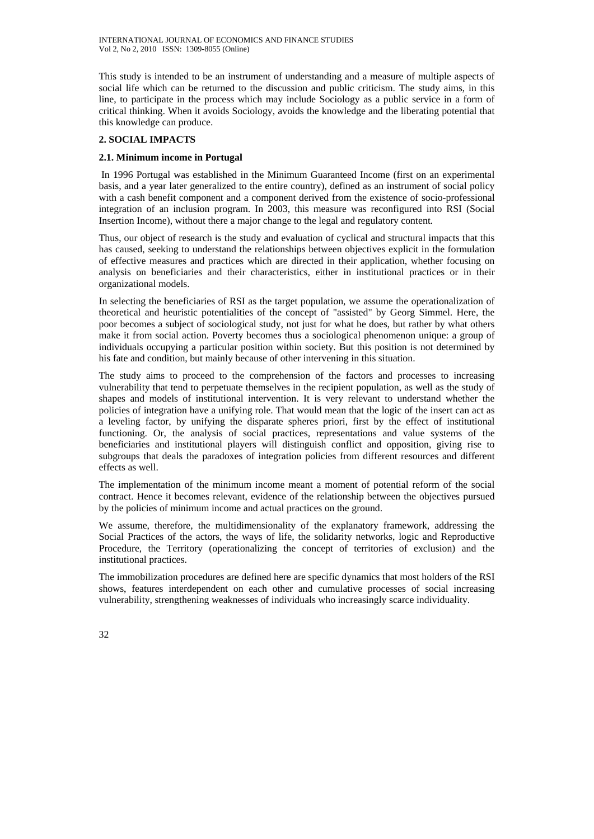This study is intended to be an instrument of understanding and a measure of multiple aspects of social life which can be returned to the discussion and public criticism. The study aims, in this line, to participate in the process which may include Sociology as a public service in a form of critical thinking. When it avoids Sociology, avoids the knowledge and the liberating potential that this knowledge can produce.

# **2. SOCIAL IMPACTS**

# **2.1. Minimum income in Portugal**

 In 1996 Portugal was established in the Minimum Guaranteed Income (first on an experimental basis, and a year later generalized to the entire country), defined as an instrument of social policy with a cash benefit component and a component derived from the existence of socio-professional integration of an inclusion program. In 2003, this measure was reconfigured into RSI (Social Insertion Income), without there a major change to the legal and regulatory content.

Thus, our object of research is the study and evaluation of cyclical and structural impacts that this has caused, seeking to understand the relationships between objectives explicit in the formulation of effective measures and practices which are directed in their application, whether focusing on analysis on beneficiaries and their characteristics, either in institutional practices or in their organizational models.

In selecting the beneficiaries of RSI as the target population, we assume the operationalization of theoretical and heuristic potentialities of the concept of "assisted" by Georg Simmel. Here, the poor becomes a subject of sociological study, not just for what he does, but rather by what others make it from social action. Poverty becomes thus a sociological phenomenon unique: a group of individuals occupying a particular position within society. But this position is not determined by his fate and condition, but mainly because of other intervening in this situation.

The study aims to proceed to the comprehension of the factors and processes to increasing vulnerability that tend to perpetuate themselves in the recipient population, as well as the study of shapes and models of institutional intervention. It is very relevant to understand whether the policies of integration have a unifying role. That would mean that the logic of the insert can act as a leveling factor, by unifying the disparate spheres priori, first by the effect of institutional functioning. Or, the analysis of social practices, representations and value systems of the beneficiaries and institutional players will distinguish conflict and opposition, giving rise to subgroups that deals the paradoxes of integration policies from different resources and different effects as well.

The implementation of the minimum income meant a moment of potential reform of the social contract. Hence it becomes relevant, evidence of the relationship between the objectives pursued by the policies of minimum income and actual practices on the ground.

We assume, therefore, the multidimensionality of the explanatory framework, addressing the Social Practices of the actors, the ways of life, the solidarity networks, logic and Reproductive Procedure, the Territory (operationalizing the concept of territories of exclusion) and the institutional practices.

The immobilization procedures are defined here are specific dynamics that most holders of the RSI shows, features interdependent on each other and cumulative processes of social increasing vulnerability, strengthening weaknesses of individuals who increasingly scarce individuality.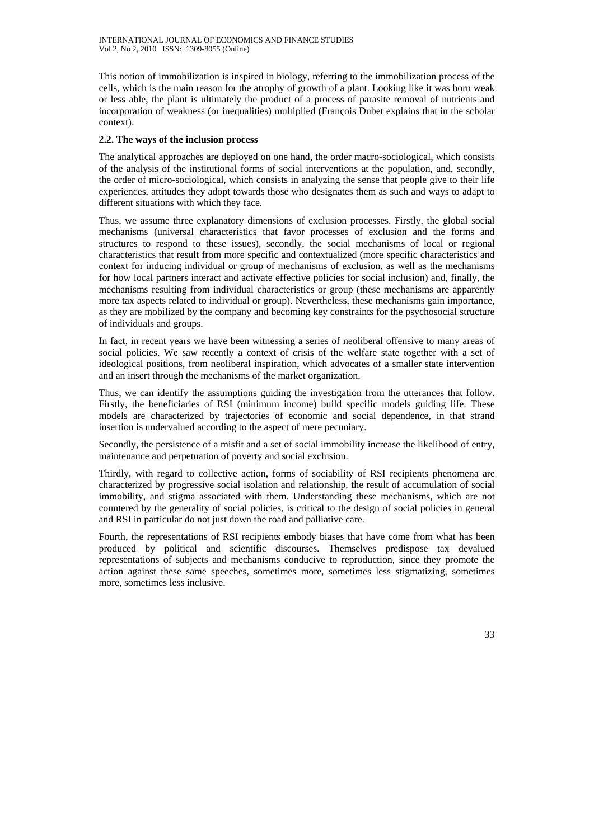This notion of immobilization is inspired in biology, referring to the immobilization process of the cells, which is the main reason for the atrophy of growth of a plant. Looking like it was born weak or less able, the plant is ultimately the product of a process of parasite removal of nutrients and incorporation of weakness (or inequalities) multiplied (François Dubet explains that in the scholar context).

# **2.2. The ways of the inclusion process**

The analytical approaches are deployed on one hand, the order macro-sociological, which consists of the analysis of the institutional forms of social interventions at the population, and, secondly, the order of micro-sociological, which consists in analyzing the sense that people give to their life experiences, attitudes they adopt towards those who designates them as such and ways to adapt to different situations with which they face.

Thus, we assume three explanatory dimensions of exclusion processes. Firstly, the global social mechanisms (universal characteristics that favor processes of exclusion and the forms and structures to respond to these issues), secondly, the social mechanisms of local or regional characteristics that result from more specific and contextualized (more specific characteristics and context for inducing individual or group of mechanisms of exclusion, as well as the mechanisms for how local partners interact and activate effective policies for social inclusion) and, finally, the mechanisms resulting from individual characteristics or group (these mechanisms are apparently more tax aspects related to individual or group). Nevertheless, these mechanisms gain importance, as they are mobilized by the company and becoming key constraints for the psychosocial structure of individuals and groups.

In fact, in recent years we have been witnessing a series of neoliberal offensive to many areas of social policies. We saw recently a context of crisis of the welfare state together with a set of ideological positions, from neoliberal inspiration, which advocates of a smaller state intervention and an insert through the mechanisms of the market organization.

Thus, we can identify the assumptions guiding the investigation from the utterances that follow. Firstly, the beneficiaries of RSI (minimum income) build specific models guiding life. These models are characterized by trajectories of economic and social dependence, in that strand insertion is undervalued according to the aspect of mere pecuniary.

Secondly, the persistence of a misfit and a set of social immobility increase the likelihood of entry, maintenance and perpetuation of poverty and social exclusion.

Thirdly, with regard to collective action, forms of sociability of RSI recipients phenomena are characterized by progressive social isolation and relationship, the result of accumulation of social immobility, and stigma associated with them. Understanding these mechanisms, which are not countered by the generality of social policies, is critical to the design of social policies in general and RSI in particular do not just down the road and palliative care.

Fourth, the representations of RSI recipients embody biases that have come from what has been produced by political and scientific discourses. Themselves predispose tax devalued representations of subjects and mechanisms conducive to reproduction, since they promote the action against these same speeches, sometimes more, sometimes less stigmatizing, sometimes more, sometimes less inclusive.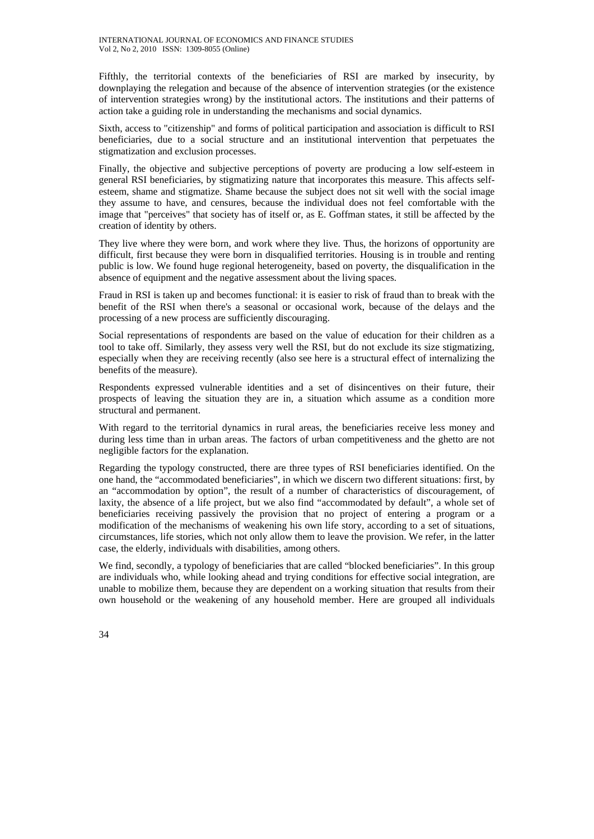Fifthly, the territorial contexts of the beneficiaries of RSI are marked by insecurity, by downplaying the relegation and because of the absence of intervention strategies (or the existence of intervention strategies wrong) by the institutional actors. The institutions and their patterns of action take a guiding role in understanding the mechanisms and social dynamics.

Sixth, access to "citizenship" and forms of political participation and association is difficult to RSI beneficiaries, due to a social structure and an institutional intervention that perpetuates the stigmatization and exclusion processes.

Finally, the objective and subjective perceptions of poverty are producing a low self-esteem in general RSI beneficiaries, by stigmatizing nature that incorporates this measure. This affects selfesteem, shame and stigmatize. Shame because the subject does not sit well with the social image they assume to have, and censures, because the individual does not feel comfortable with the image that "perceives" that society has of itself or, as E. Goffman states, it still be affected by the creation of identity by others.

They live where they were born, and work where they live. Thus, the horizons of opportunity are difficult, first because they were born in disqualified territories. Housing is in trouble and renting public is low. We found huge regional heterogeneity, based on poverty, the disqualification in the absence of equipment and the negative assessment about the living spaces.

Fraud in RSI is taken up and becomes functional: it is easier to risk of fraud than to break with the benefit of the RSI when there's a seasonal or occasional work, because of the delays and the processing of a new process are sufficiently discouraging.

Social representations of respondents are based on the value of education for their children as a tool to take off. Similarly, they assess very well the RSI, but do not exclude its size stigmatizing, especially when they are receiving recently (also see here is a structural effect of internalizing the benefits of the measure).

Respondents expressed vulnerable identities and a set of disincentives on their future, their prospects of leaving the situation they are in, a situation which assume as a condition more structural and permanent.

With regard to the territorial dynamics in rural areas, the beneficiaries receive less money and during less time than in urban areas. The factors of urban competitiveness and the ghetto are not negligible factors for the explanation.

Regarding the typology constructed, there are three types of RSI beneficiaries identified. On the one hand, the "accommodated beneficiaries", in which we discern two different situations: first, by an "accommodation by option", the result of a number of characteristics of discouragement, of laxity, the absence of a life project, but we also find "accommodated by default", a whole set of beneficiaries receiving passively the provision that no project of entering a program or a modification of the mechanisms of weakening his own life story, according to a set of situations, circumstances, life stories, which not only allow them to leave the provision. We refer, in the latter case, the elderly, individuals with disabilities, among others.

We find, secondly, a typology of beneficiaries that are called "blocked beneficiaries". In this group are individuals who, while looking ahead and trying conditions for effective social integration, are unable to mobilize them, because they are dependent on a working situation that results from their own household or the weakening of any household member. Here are grouped all individuals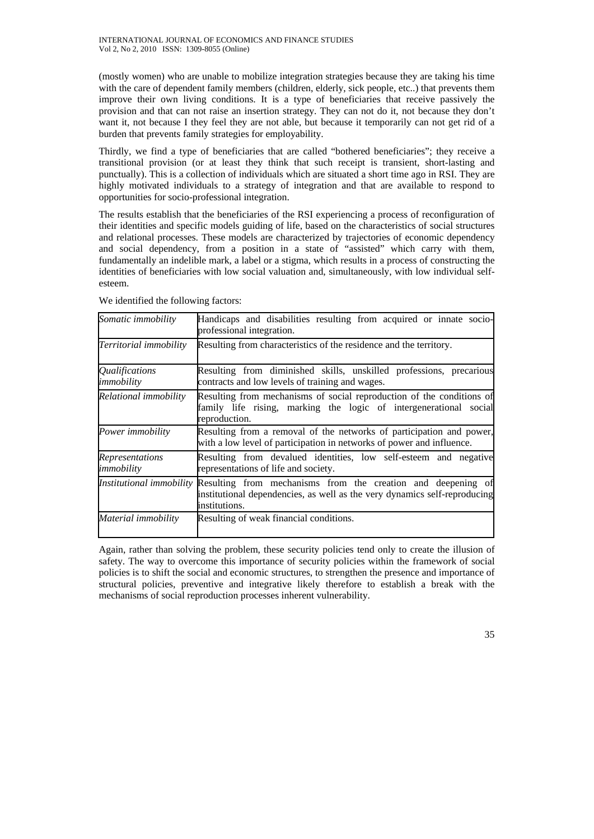(mostly women) who are unable to mobilize integration strategies because they are taking his time with the care of dependent family members (children, elderly, sick people, etc..) that prevents them improve their own living conditions. It is a type of beneficiaries that receive passively the provision and that can not raise an insertion strategy. They can not do it, not because they don't want it, not because I they feel they are not able, but because it temporarily can not get rid of a burden that prevents family strategies for employability.

Thirdly, we find a type of beneficiaries that are called "bothered beneficiaries"; they receive a transitional provision (or at least they think that such receipt is transient, short-lasting and punctually). This is a collection of individuals which are situated a short time ago in RSI. They are highly motivated individuals to a strategy of integration and that are available to respond to opportunities for socio-professional integration.

The results establish that the beneficiaries of the RSI experiencing a process of reconfiguration of their identities and specific models guiding of life, based on the characteristics of social structures and relational processes. These models are characterized by trajectories of economic dependency and social dependency, from a position in a state of "assisted" which carry with them, fundamentally an indelible mark, a label or a stigma, which results in a process of constructing the identities of beneficiaries with low social valuation and, simultaneously, with low individual selfesteem.

| Somatic immobility                         | Handicaps and disabilities resulting from acquired or innate socio-<br>professional integration.                                                            |
|--------------------------------------------|-------------------------------------------------------------------------------------------------------------------------------------------------------------|
| Territorial immobility                     | Resulting from characteristics of the residence and the territory.                                                                                          |
| <i><b>Oualifications</b></i><br>immobility | Resulting from diminished skills, unskilled professions, precarious<br>contracts and low levels of training and wages.                                      |
| Relational immobility                      | Resulting from mechanisms of social reproduction of the conditions of<br>family life rising, marking the logic of intergenerational social<br>reproduction. |
| Power immobility                           | Resulting from a removal of the networks of participation and power,<br>with a low level of participation in networks of power and influence.               |
| <i>Representations</i><br>immobility       | Resulting from devalued identities, low self-esteem and negative<br>representations of life and society.                                                    |
| Institutional immobility                   | Resulting from mechanisms from the creation and deepening of<br>institutional dependencies, as well as the very dynamics self-reproducing<br>institutions.  |
| Material immobility                        | Resulting of weak financial conditions.                                                                                                                     |

We identified the following factors:

Again, rather than solving the problem, these security policies tend only to create the illusion of safety. The way to overcome this importance of security policies within the framework of social policies is to shift the social and economic structures, to strengthen the presence and importance of structural policies, preventive and integrative likely therefore to establish a break with the mechanisms of social reproduction processes inherent vulnerability.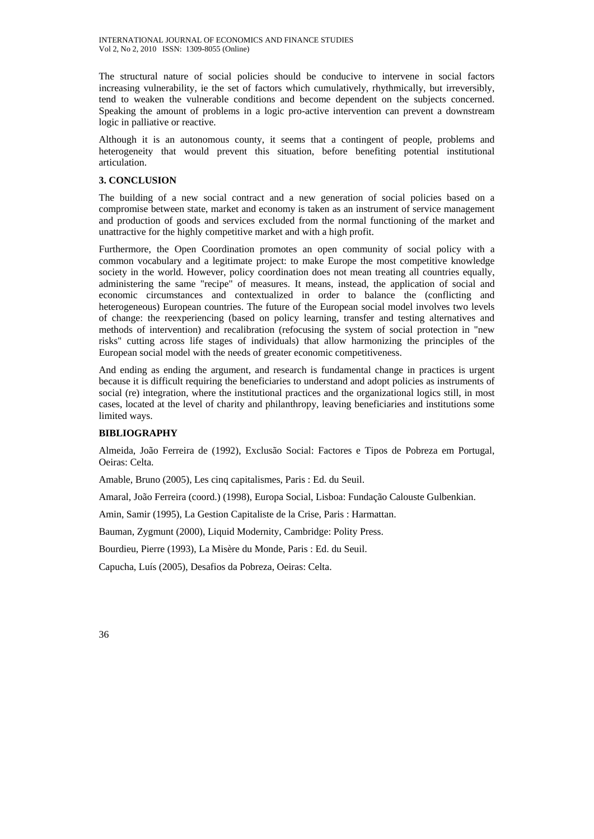The structural nature of social policies should be conducive to intervene in social factors increasing vulnerability, ie the set of factors which cumulatively, rhythmically, but irreversibly, tend to weaken the vulnerable conditions and become dependent on the subjects concerned. Speaking the amount of problems in a logic pro-active intervention can prevent a downstream logic in palliative or reactive.

Although it is an autonomous county, it seems that a contingent of people, problems and heterogeneity that would prevent this situation, before benefiting potential institutional articulation.

# **3. CONCLUSION**

The building of a new social contract and a new generation of social policies based on a compromise between state, market and economy is taken as an instrument of service management and production of goods and services excluded from the normal functioning of the market and unattractive for the highly competitive market and with a high profit.

Furthermore, the Open Coordination promotes an open community of social policy with a common vocabulary and a legitimate project: to make Europe the most competitive knowledge society in the world. However, policy coordination does not mean treating all countries equally, administering the same "recipe" of measures. It means, instead, the application of social and economic circumstances and contextualized in order to balance the (conflicting and heterogeneous) European countries. The future of the European social model involves two levels of change: the reexperiencing (based on policy learning, transfer and testing alternatives and methods of intervention) and recalibration (refocusing the system of social protection in "new risks" cutting across life stages of individuals) that allow harmonizing the principles of the European social model with the needs of greater economic competitiveness.

And ending as ending the argument, and research is fundamental change in practices is urgent because it is difficult requiring the beneficiaries to understand and adopt policies as instruments of social (re) integration, where the institutional practices and the organizational logics still, in most cases, located at the level of charity and philanthropy, leaving beneficiaries and institutions some limited ways.

# **BIBLIOGRAPHY**

Almeida, João Ferreira de (1992), Exclusão Social: Factores e Tipos de Pobreza em Portugal, Oeiras: Celta.

Amable, Bruno (2005), Les cinq capitalismes, Paris : Ed. du Seuil.

Amaral, João Ferreira (coord.) (1998), Europa Social, Lisboa: Fundação Calouste Gulbenkian.

Amin, Samir (1995), La Gestion Capitaliste de la Crise, Paris : Harmattan.

Bauman, Zygmunt (2000), Liquid Modernity, Cambridge: Polity Press.

Bourdieu, Pierre (1993), La Misère du Monde, Paris : Ed. du Seuil.

Capucha, Luís (2005), Desafios da Pobreza, Oeiras: Celta.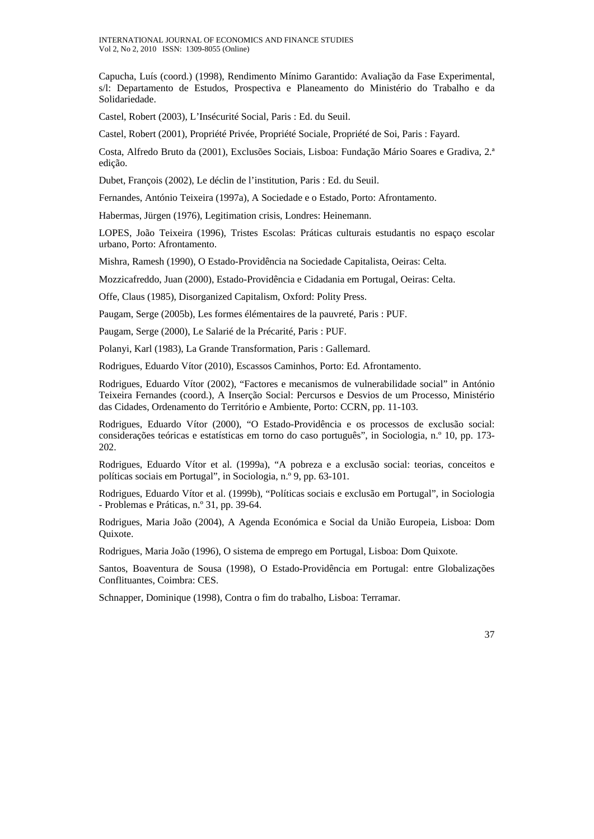Capucha, Luís (coord.) (1998), Rendimento Mínimo Garantido: Avaliação da Fase Experimental, s/l: Departamento de Estudos, Prospectiva e Planeamento do Ministério do Trabalho e da Solidariedade.

Castel, Robert (2003), L'Insécurité Social, Paris : Ed. du Seuil.

Castel, Robert (2001), Propriété Privée, Propriété Sociale, Propriété de Soi, Paris : Fayard.

Costa, Alfredo Bruto da (2001), Exclusões Sociais, Lisboa: Fundação Mário Soares e Gradiva, 2.ª edição.

Dubet, François (2002), Le déclin de l'institution, Paris : Ed. du Seuil.

Fernandes, António Teixeira (1997a), A Sociedade e o Estado, Porto: Afrontamento.

Habermas, Jürgen (1976), Legitimation crisis, Londres: Heinemann.

LOPES, João Teixeira (1996), Tristes Escolas: Práticas culturais estudantis no espaço escolar urbano, Porto: Afrontamento.

Mishra, Ramesh (1990), O Estado-Providência na Sociedade Capitalista, Oeiras: Celta.

Mozzicafreddo, Juan (2000), Estado-Providência e Cidadania em Portugal, Oeiras: Celta.

Offe, Claus (1985), Disorganized Capitalism, Oxford: Polity Press.

Paugam, Serge (2005b), Les formes élémentaires de la pauvreté, Paris : PUF.

Paugam, Serge (2000), Le Salarié de la Précarité, Paris : PUF.

Polanyi, Karl (1983), La Grande Transformation, Paris : Gallemard.

Rodrigues, Eduardo Vítor (2010), Escassos Caminhos, Porto: Ed. Afrontamento.

Rodrigues, Eduardo Vítor (2002), "Factores e mecanismos de vulnerabilidade social" in António Teixeira Fernandes (coord.), A Inserção Social: Percursos e Desvios de um Processo, Ministério das Cidades, Ordenamento do Território e Ambiente, Porto: CCRN, pp. 11-103.

Rodrigues, Eduardo Vítor (2000), "O Estado-Providência e os processos de exclusão social: considerações teóricas e estatísticas em torno do caso português", in Sociologia, n.º 10, pp. 173- 202.

Rodrigues, Eduardo Vítor et al. (1999a), "A pobreza e a exclusão social: teorias, conceitos e políticas sociais em Portugal", in Sociologia, n.º 9, pp. 63-101.

Rodrigues, Eduardo Vítor et al. (1999b), "Políticas sociais e exclusão em Portugal", in Sociologia - Problemas e Práticas, n.º 31, pp. 39-64.

Rodrigues, Maria João (2004), A Agenda Económica e Social da União Europeia, Lisboa: Dom Quixote.

Rodrigues, Maria João (1996), O sistema de emprego em Portugal, Lisboa: Dom Quixote.

Santos, Boaventura de Sousa (1998), O Estado-Providência em Portugal: entre Globalizações Conflituantes, Coimbra: CES.

Schnapper, Dominique (1998), Contra o fim do trabalho, Lisboa: Terramar.